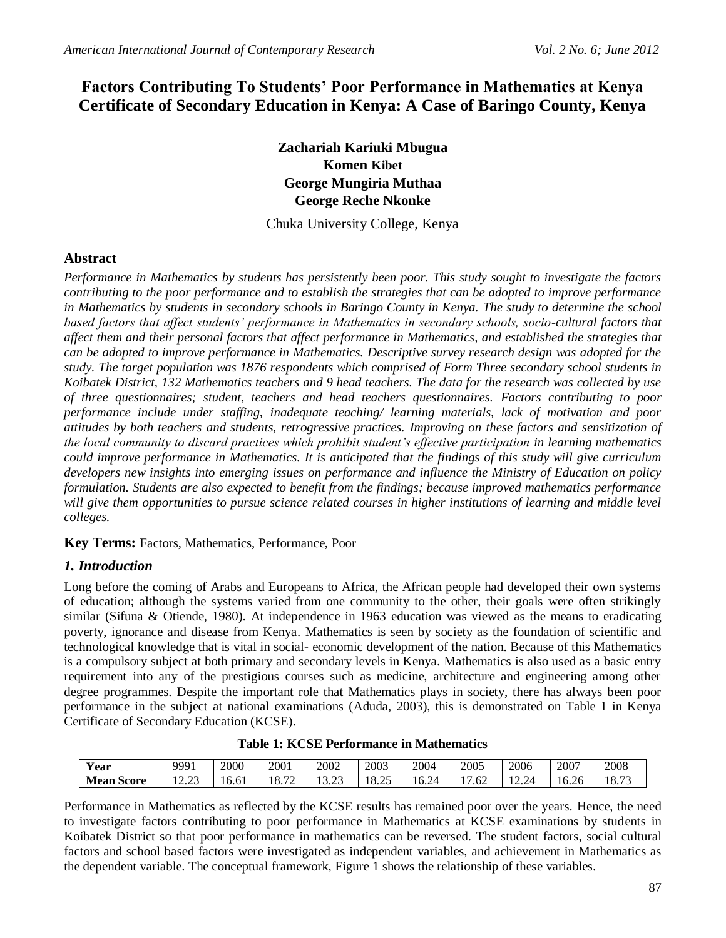# **Factors Contributing To Students' Poor Performance in Mathematics at Kenya Certificate of Secondary Education in Kenya: A Case of Baringo County, Kenya**

**Zachariah Kariuki Mbugua Komen Kibet George Mungiria Muthaa George Reche Nkonke**

Chuka University College, Kenya

# **Abstract**

*Performance in Mathematics by students has persistently been poor. This study sought to investigate the factors contributing to the poor performance and to establish the strategies that can be adopted to improve performance in Mathematics by students in secondary schools in Baringo County in Kenya. The study to determine the school based factors that affect students' performance in Mathematics in secondary schools, socio-cultural factors that affect them and their personal factors that affect performance in Mathematics, and established the strategies that can be adopted to improve performance in Mathematics. Descriptive survey research design was adopted for the study. The target population was 1876 respondents which comprised of Form Three secondary school students in Koibatek District, 132 Mathematics teachers and 9 head teachers. The data for the research was collected by use of three questionnaires; student, teachers and head teachers questionnaires. Factors contributing to poor performance include under staffing, inadequate teaching/ learning materials, lack of motivation and poor attitudes by both teachers and students, retrogressive practices. Improving on these factors and sensitization of the local community to discard practices which prohibit student's effective participation in learning mathematics could improve performance in Mathematics. It is anticipated that the findings of this study will give curriculum developers new insights into emerging issues on performance and influence the Ministry of Education on policy formulation. Students are also expected to benefit from the findings; because improved mathematics performance*  will give them opportunities to pursue science related courses in higher institutions of learning and middle level *colleges.*

**Key Terms:** Factors, Mathematics, Performance, Poor

# *1. Introduction*

Long before the coming of Arabs and Europeans to Africa, the African people had developed their own systems of education; although the systems varied from one community to the other, their goals were often strikingly similar (Sifuna & Otiende, 1980). At independence in 1963 education was viewed as the means to eradicating poverty, ignorance and disease from Kenya. Mathematics is seen by society as the foundation of scientific and technological knowledge that is vital in social- economic development of the nation. Because of this Mathematics is a compulsory subject at both primary and secondary levels in Kenya. Mathematics is also used as a basic entry requirement into any of the prestigious courses such as medicine, architecture and engineering among other degree programmes. Despite the important role that Mathematics plays in society, there has always been poor performance in the subject at national examinations (Aduda, 2003), this is demonstrated on Table 1 in Kenya Certificate of Secondary Education (KCSE).

| $\sim$ $\sim$<br>Year       | 9991                  | 2000  | 2001                   | 2002              | 2003  | 2004  | 2005 | 2006                      | 2007            | 2008                       |
|-----------------------------|-----------------------|-------|------------------------|-------------------|-------|-------|------|---------------------------|-----------------|----------------------------|
| <b>Mean</b><br><b>Score</b> | רה הו<br>ر د سه سه سه | 16.61 | $\overline{a}$<br>18.7 | $\sim$<br>ن د د د | 18.25 | 16.24 | .62  | $\gamma$ 24<br>مصدق که با | $\sim$<br>16.26 | 10.7 <sup>o</sup><br>10.15 |

Performance in Mathematics as reflected by the KCSE results has remained poor over the years. Hence, the need to investigate factors contributing to poor performance in Mathematics at KCSE examinations by students in Koibatek District so that poor performance in mathematics can be reversed. The student factors, social cultural factors and school based factors were investigated as independent variables, and achievement in Mathematics as the dependent variable. The conceptual framework, Figure 1 shows the relationship of these variables.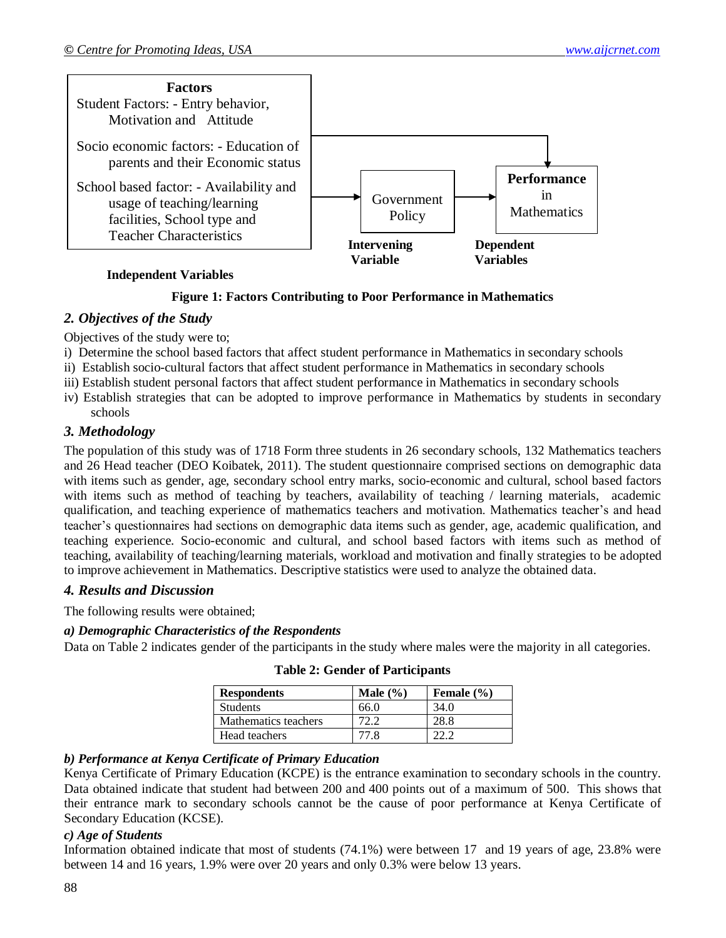

### **Independent Variables**

### **Figure 1: Factors Contributing to Poor Performance in Mathematics**

# *2. Objectives of the Study*

Objectives of the study were to;

- i) Determine the school based factors that affect student performance in Mathematics in secondary schools
- ii) Establish socio-cultural factors that affect student performance in Mathematics in secondary schools
- iii) Establish student personal factors that affect student performance in Mathematics in secondary schools
- iv) Establish strategies that can be adopted to improve performance in Mathematics by students in secondary schools

### *3. Methodology*

The population of this study was of 1718 Form three students in 26 secondary schools, 132 Mathematics teachers and 26 Head teacher (DEO Koibatek, 2011). The student questionnaire comprised sections on demographic data with items such as gender, age, secondary school entry marks, socio-economic and cultural, school based factors with items such as method of teaching by teachers, availability of teaching / learning materials, academic qualification, and teaching experience of mathematics teachers and motivation. Mathematics teacher's and head teacher's questionnaires had sections on demographic data items such as gender, age, academic qualification, and teaching experience. Socio-economic and cultural, and school based factors with items such as method of teaching, availability of teaching/learning materials, workload and motivation and finally strategies to be adopted to improve achievement in Mathematics. Descriptive statistics were used to analyze the obtained data.

#### *4. Results and Discussion*

The following results were obtained;

### *a) Demographic Characteristics of the Respondents*

Data on Table 2 indicates gender of the participants in the study where males were the majority in all categories.

| <b>Respondents</b>   | Male $(\% )$ | Female $(\% )$ |
|----------------------|--------------|----------------|
| <b>Students</b>      | 66.0         | 34.0           |
| Mathematics teachers | 72 Z         | 28.8           |
| Head teachers        | 77 R         |                |

**Table 2: Gender of Participants**

# *b) Performance at Kenya Certificate of Primary Education*

Kenya Certificate of Primary Education (KCPE) is the entrance examination to secondary schools in the country. Data obtained indicate that student had between 200 and 400 points out of a maximum of 500. This shows that their entrance mark to secondary schools cannot be the cause of poor performance at Kenya Certificate of Secondary Education (KCSE).

#### *c) Age of Students*

Information obtained indicate that most of students (74.1%) were between 17 and 19 years of age, 23.8% were between 14 and 16 years, 1.9% were over 20 years and only 0.3% were below 13 years.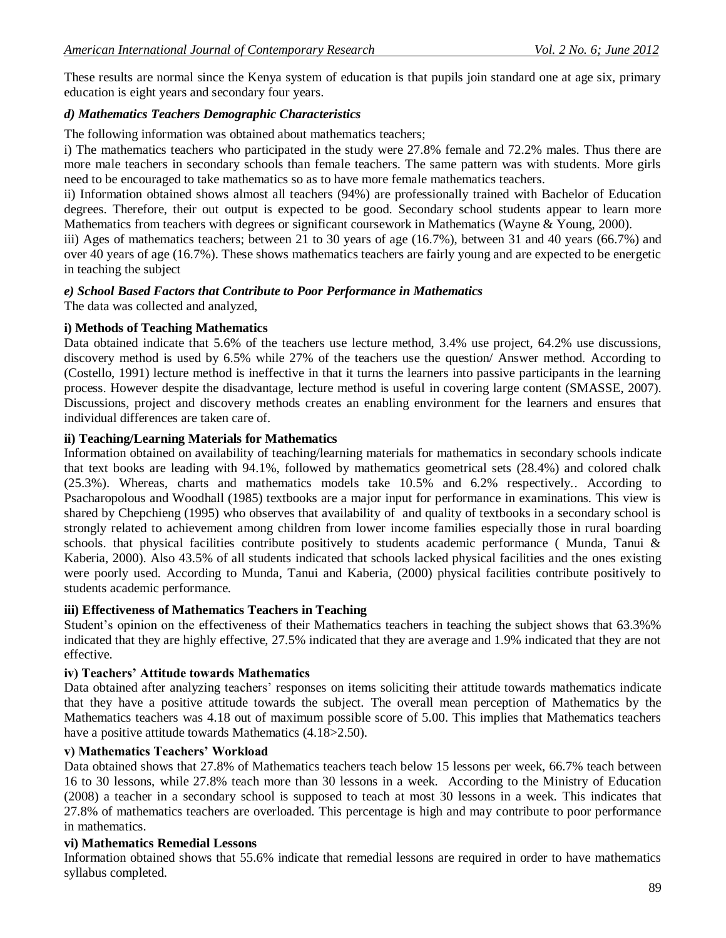These results are normal since the Kenya system of education is that pupils join standard one at age six, primary education is eight years and secondary four years.

# *d) Mathematics Teachers Demographic Characteristics*

The following information was obtained about mathematics teachers;

i) The mathematics teachers who participated in the study were 27.8% female and 72.2% males. Thus there are more male teachers in secondary schools than female teachers. The same pattern was with students. More girls need to be encouraged to take mathematics so as to have more female mathematics teachers.

ii) Information obtained shows almost all teachers (94%) are professionally trained with Bachelor of Education degrees. Therefore, their out output is expected to be good. Secondary school students appear to learn more Mathematics from teachers with degrees or significant coursework in Mathematics (Wayne & Young, 2000).

iii) Ages of mathematics teachers; between 21 to 30 years of age (16.7%), between 31 and 40 years (66.7%) and over 40 years of age (16.7%). These shows mathematics teachers are fairly young and are expected to be energetic in teaching the subject

### *e) School Based Factors that Contribute to Poor Performance in Mathematics*

The data was collected and analyzed,

### **i) Methods of Teaching Mathematics**

Data obtained indicate that 5.6% of the teachers use lecture method, 3.4% use project, 64.2% use discussions, discovery method is used by 6.5% while 27% of the teachers use the question/ Answer method. According to (Costello, 1991) lecture method is ineffective in that it turns the learners into passive participants in the learning process. However despite the disadvantage, lecture method is useful in covering large content (SMASSE, 2007). Discussions, project and discovery methods creates an enabling environment for the learners and ensures that individual differences are taken care of.

### **ii) Teaching/Learning Materials for Mathematics**

Information obtained on availability of teaching/learning materials for mathematics in secondary schools indicate that text books are leading with 94.1%, followed by mathematics geometrical sets (28.4%) and colored chalk (25.3%). Whereas, charts and mathematics models take 10.5% and 6.2% respectively.. According to Psacharopolous and Woodhall (1985) textbooks are a major input for performance in examinations. This view is shared by Chepchieng (1995) who observes that availability of and quality of textbooks in a secondary school is strongly related to achievement among children from lower income families especially those in rural boarding schools. that physical facilities contribute positively to students academic performance ( Munda, Tanui & Kaberia, 2000). Also 43.5% of all students indicated that schools lacked physical facilities and the ones existing were poorly used. According to Munda, Tanui and Kaberia, (2000) physical facilities contribute positively to students academic performance.

#### **iii) Effectiveness of Mathematics Teachers in Teaching**

Student's opinion on the effectiveness of their Mathematics teachers in teaching the subject shows that 63.3%% indicated that they are highly effective, 27.5% indicated that they are average and 1.9% indicated that they are not effective.

# **iv) Teachers' Attitude towards Mathematics**

Data obtained after analyzing teachers' responses on items soliciting their attitude towards mathematics indicate that they have a positive attitude towards the subject. The overall mean perception of Mathematics by the Mathematics teachers was 4.18 out of maximum possible score of 5.00. This implies that Mathematics teachers have a positive attitude towards Mathematics  $(4.18>2.50)$ .

# **v) Mathematics Teachers' Workload**

Data obtained shows that 27.8% of Mathematics teachers teach below 15 lessons per week, 66.7% teach between 16 to 30 lessons, while 27.8% teach more than 30 lessons in a week. According to the Ministry of Education (2008) a teacher in a secondary school is supposed to teach at most 30 lessons in a week. This indicates that 27.8% of mathematics teachers are overloaded. This percentage is high and may contribute to poor performance in mathematics.

# **vi) Mathematics Remedial Lessons**

Information obtained shows that 55.6% indicate that remedial lessons are required in order to have mathematics syllabus completed.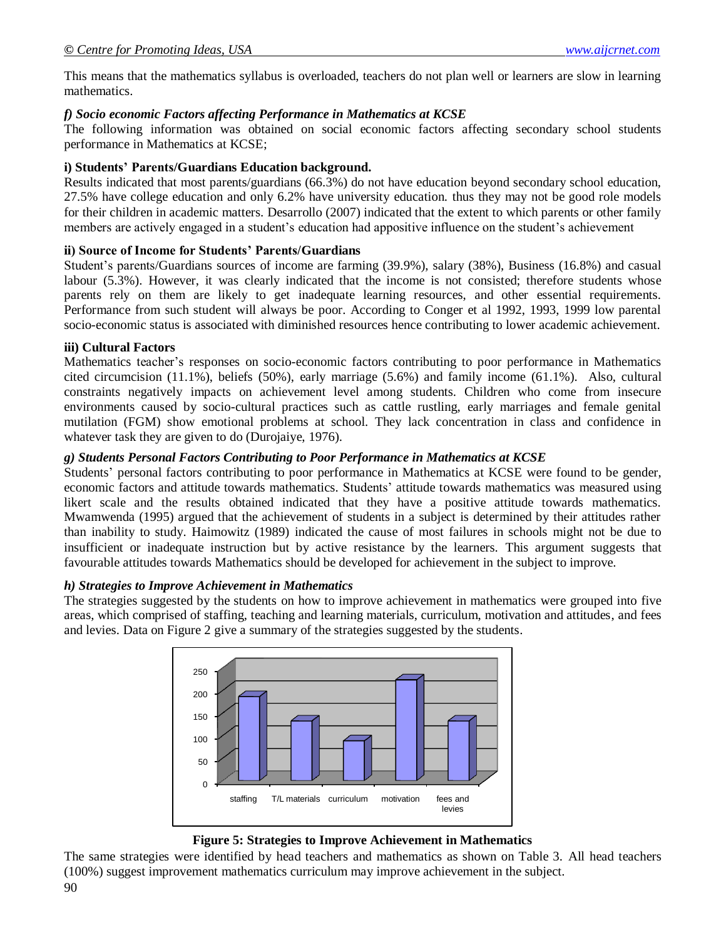This means that the mathematics syllabus is overloaded, teachers do not plan well or learners are slow in learning mathematics.

# *f) Socio economic Factors affecting Performance in Mathematics at KCSE*

The following information was obtained on social economic factors affecting secondary school students performance in Mathematics at KCSE;

# **i) Students' Parents/Guardians Education background.**

Results indicated that most parents/guardians (66.3%) do not have education beyond secondary school education, 27.5% have college education and only 6.2% have university education. thus they may not be good role models for their children in academic matters. Desarrollo (2007) indicated that the extent to which parents or other family members are actively engaged in a student's education had appositive influence on the student's achievement

# **ii) Source of Income for Students' Parents/Guardians**

Student's parents/Guardians sources of income are farming (39.9%), salary (38%), Business (16.8%) and casual labour (5.3%). However, it was clearly indicated that the income is not consisted; therefore students whose parents rely on them are likely to get inadequate learning resources, and other essential requirements. Performance from such student will always be poor. According to Conger et al 1992, 1993, 1999 low parental socio-economic status is associated with diminished resources hence contributing to lower academic achievement.

# **iii) Cultural Factors**

Mathematics teacher's responses on socio-economic factors contributing to poor performance in Mathematics cited circumcision (11.1%), beliefs (50%), early marriage (5.6%) and family income (61.1%). Also, cultural constraints negatively impacts on achievement level among students. Children who come from insecure environments caused by socio-cultural practices such as cattle rustling, early marriages and female genital mutilation (FGM) show emotional problems at school. They lack concentration in class and confidence in whatever task they are given to do (Durojaiye, 1976).

# *g) Students Personal Factors Contributing to Poor Performance in Mathematics at KCSE*

Students' personal factors contributing to poor performance in Mathematics at KCSE were found to be gender, economic factors and attitude towards mathematics. Students' attitude towards mathematics was measured using likert scale and the results obtained indicated that they have a positive attitude towards mathematics. Mwamwenda (1995) argued that the achievement of students in a subject is determined by their attitudes rather than inability to study. Haimowitz (1989) indicated the cause of most failures in schools might not be due to insufficient or inadequate instruction but by active resistance by the learners. This argument suggests that favourable attitudes towards Mathematics should be developed for achievement in the subject to improve.

# *h) Strategies to Improve Achievement in Mathematics*

The strategies suggested by the students on how to improve achievement in mathematics were grouped into five areas, which comprised of staffing, teaching and learning materials, curriculum, motivation and attitudes, and fees and levies. Data on Figure 2 give a summary of the strategies suggested by the students.



# **Figure 5: Strategies to Improve Achievement in Mathematics**

The same strategies were identified by head teachers and mathematics as shown on Table 3. All head teachers (100%) suggest improvement mathematics curriculum may improve achievement in the subject.